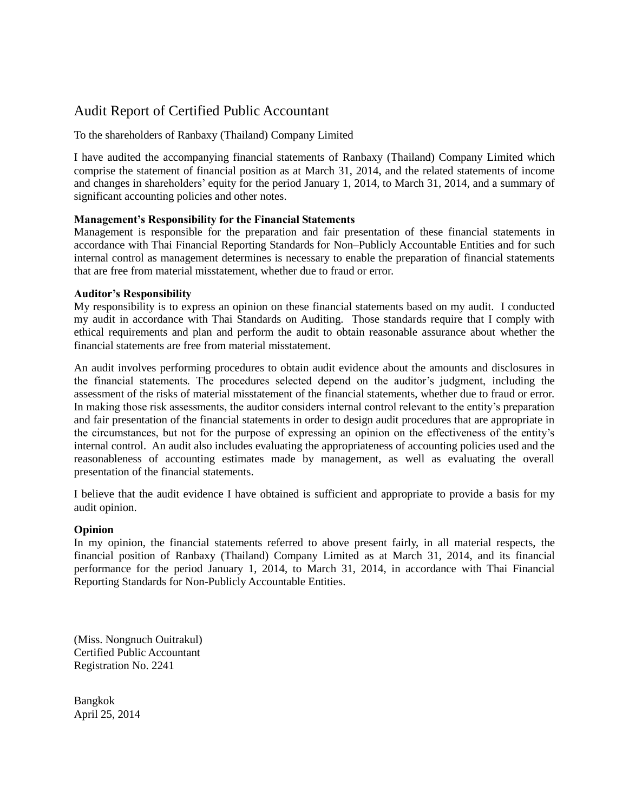# Audit Report of Certified Public Accountant

To the shareholders of Ranbaxy (Thailand) Company Limited

I have audited the accompanying financial statements of Ranbaxy (Thailand) Company Limited which comprise the statement of financial position as at March 31, 2014, and the related statements of income and changes in shareholders' equity for the period January 1, 2014, to March 31, 2014, and a summary of significant accounting policies and other notes.

#### **Management's Responsibility for the Financial Statements**

Management is responsible for the preparation and fair presentation of these financial statements in accordance with Thai Financial Reporting Standards for Non–Publicly Accountable Entities and for such internal control as management determines is necessary to enable the preparation of financial statements that are free from material misstatement, whether due to fraud or error.

#### **Auditor's Responsibility**

My responsibility is to express an opinion on these financial statements based on my audit. I conducted my audit in accordance with Thai Standards on Auditing. Those standards require that I comply with ethical requirements and plan and perform the audit to obtain reasonable assurance about whether the financial statements are free from material misstatement.

An audit involves performing procedures to obtain audit evidence about the amounts and disclosures in the financial statements. The procedures selected depend on the auditor's judgment, including the assessment of the risks of material misstatement of the financial statements, whether due to fraud or error. In making those risk assessments, the auditor considers internal control relevant to the entity's preparation and fair presentation of the financial statements in order to design audit procedures that are appropriate in the circumstances, but not for the purpose of expressing an opinion on the effectiveness of the entity's internal control.An audit also includes evaluating the appropriateness of accounting policies used and the reasonableness of accounting estimates made by management, as well as evaluating the overall presentation of the financial statements.

I believe that the audit evidence I have obtained is sufficient and appropriate to provide a basis for my audit opinion.

#### **Opinion**

In my opinion, the financial statements referred to above present fairly, in all material respects, the financial position of Ranbaxy (Thailand) Company Limited as at March 31, 2014, and its financial performance for the period January 1, 2014, to March 31, 2014, in accordance with Thai Financial Reporting Standards for Non-Publicly Accountable Entities.

(Miss. Nongnuch Ouitrakul) Certified Public Accountant Registration No. 2241

Bangkok April 25, 2014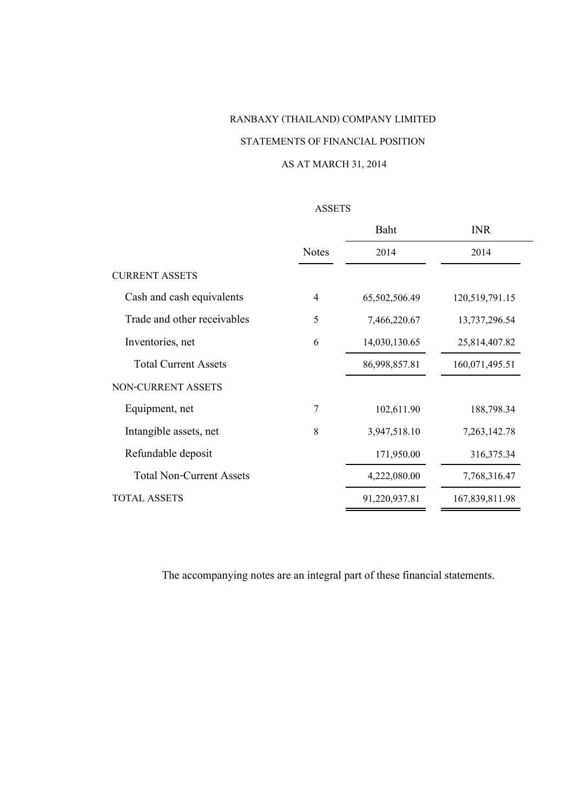# RANBAXY (THAILAND) COMPANY LIMITED

# STATEMENTS OF FINANCIAL POSITION

### AS AT MARCH 31, 2014

|                                 | <b>ASSETS</b>  |               |                 |  |
|---------------------------------|----------------|---------------|-----------------|--|
|                                 |                | Baht          | <b>INR</b>      |  |
|                                 | <b>Notes</b>   | 2014          | 2014            |  |
| <b>CURRENT ASSETS</b>           |                |               |                 |  |
| Cash and cash equivalents       | $\overline{4}$ | 65,502,506.49 | 120,519,791.15  |  |
| Trade and other receivables     | 5              | 7,466,220.67  | 13,737,296.54   |  |
| Inventories, net                | 6              | 14,030,130.65 | 25,814,407.82   |  |
| <b>Total Current Assets</b>     |                | 86,998,857.81 | 160,071,495.51  |  |
| NON-CURRENT ASSETS              |                |               |                 |  |
| Equipment, net                  | 7              | 102,611.90    | 188,798.34      |  |
| Intangible assets, net          | 8              | 3,947,518.10  | 7, 263, 142. 78 |  |
| Refundable deposit              |                | 171,950.00    | 316,375.34      |  |
| <b>Total Non-Current Assets</b> |                | 4,222,080.00  | 7,768,316.47    |  |
| <b>TOTAL ASSETS</b>             |                | 91,220,937.81 | 167,839,811.98  |  |
|                                 |                |               |                 |  |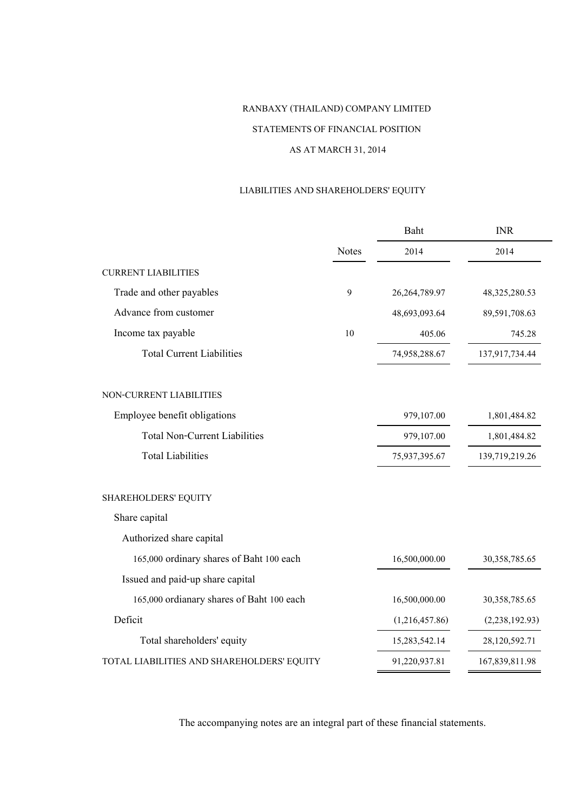# RANBAXY (THAILAND) COMPANY LIMITED STATEMENTS OF FINANCIAL POSITION AS AT MARCH 31, 2014

#### LIABILITIES AND SHAREHOLDERS' EQUITY

|                                            |              | Baht             | <b>INR</b>     |
|--------------------------------------------|--------------|------------------|----------------|
|                                            | <b>Notes</b> | 2014             | 2014           |
| <b>CURRENT LIABILITIES</b>                 |              |                  |                |
| Trade and other payables                   | 9            | 26, 264, 789. 97 | 48,325,280.53  |
| Advance from customer                      |              | 48,693,093.64    | 89,591,708.63  |
| Income tax payable                         | 10           | 405.06           | 745.28         |
| <b>Total Current Liabilities</b>           |              | 74,958,288.67    | 137,917,734.44 |
| NON-CURRENT LIABILITIES                    |              |                  |                |
| Employee benefit obligations               |              | 979,107.00       | 1,801,484.82   |
| <b>Total Non-Current Liabilities</b>       |              | 979,107.00       | 1,801,484.82   |
| <b>Total Liabilities</b>                   |              | 75,937,395.67    | 139,719,219.26 |
| SHAREHOLDERS' EQUITY                       |              |                  |                |
| Share capital                              |              |                  |                |
| Authorized share capital                   |              |                  |                |
| 165,000 ordinary shares of Baht 100 each   |              | 16,500,000.00    | 30,358,785.65  |
| Issued and paid-up share capital           |              |                  |                |
| 165,000 ordianary shares of Baht 100 each  |              | 16,500,000.00    | 30,358,785.65  |
| Deficit                                    |              | (1,216,457.86)   | (2,238,192.93) |
| Total shareholders' equity                 |              | 15,283,542.14    | 28,120,592.71  |
| TOTAL LIABILITIES AND SHAREHOLDERS' EQUITY |              | 91,220,937.81    | 167,839,811.98 |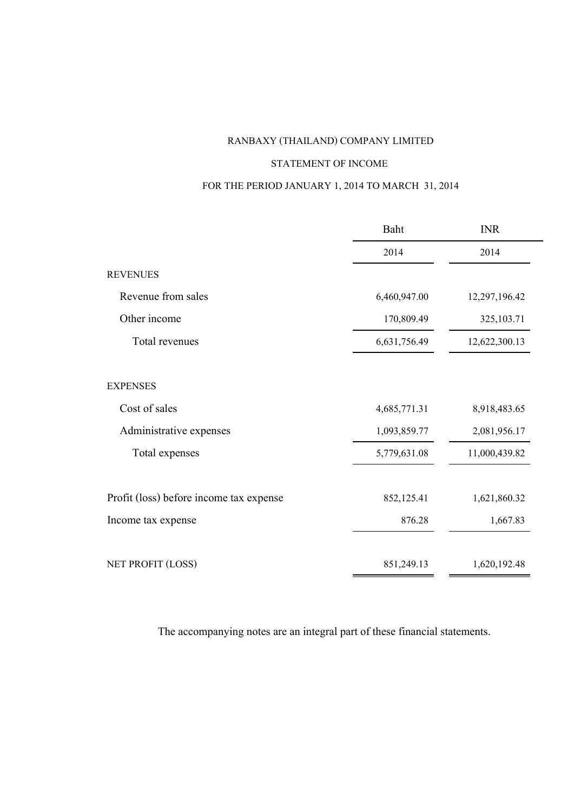#### RANBAXY (THAILAND) COMPANY LIMITED

#### STATEMENT OF INCOME

### FOR THE PERIOD JANUARY 1, 2014 TO MARCH 31, 2014

|                                         | Baht         | <b>INR</b>    |
|-----------------------------------------|--------------|---------------|
|                                         | 2014         | 2014          |
| <b>REVENUES</b>                         |              |               |
| Revenue from sales                      | 6,460,947.00 | 12,297,196.42 |
| Other income                            | 170,809.49   | 325,103.71    |
| Total revenues                          | 6,631,756.49 | 12,622,300.13 |
| <b>EXPENSES</b>                         |              |               |
| Cost of sales                           | 4,685,771.31 | 8,918,483.65  |
| Administrative expenses                 | 1,093,859.77 | 2,081,956.17  |
| Total expenses                          | 5,779,631.08 | 11,000,439.82 |
| Profit (loss) before income tax expense | 852,125.41   | 1,621,860.32  |
| Income tax expense                      | 876.28       | 1,667.83      |
| NET PROFIT (LOSS)                       | 851,249.13   | 1,620,192.48  |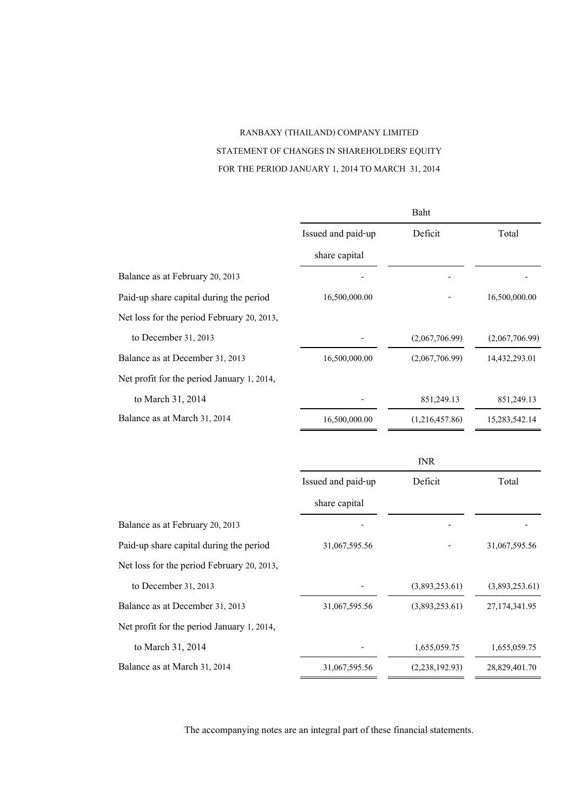# STATEMENT OF CHANGES IN SHAREHOLDERS' EQUITY RANBAXY (THAILAND) COMPANY LIMITED FOR THE PERIOD JANUARY 1, 2014 TO MARCH 31, 2014

|                                            |                    | Baht           |                |
|--------------------------------------------|--------------------|----------------|----------------|
|                                            | Issued and paid-up | Deficit        | Total          |
|                                            | share capital      |                |                |
| Balance as at February 20, 2013            |                    |                |                |
| Paid-up share capital during the period    | 16,500,000.00      |                | 16,500,000.00  |
| Net loss for the period February 20, 2013, |                    |                |                |
| to December 31, 2013                       |                    | (2,067,706.99) | (2,067,706.99) |
| Balance as at December 31, 2013            | 16,500,000.00      | (2,067,706.99) | 14,432,293.01  |
| Net profit for the period January 1, 2014, |                    |                |                |
| to March 31, 2014                          |                    | 851,249.13     | 851,249.13     |
| Balance as at March 31, 2014               | 16,500,000.00      | (1,216,457.86) | 15,283,542.14  |
|                                            |                    | <b>INR</b>     |                |
|                                            | Issued and paid-up | Deficit        | Total          |
|                                            | share capital      |                |                |

| Balance as at February 20, 2013            |               |                |                  |
|--------------------------------------------|---------------|----------------|------------------|
| Paid-up share capital during the period    | 31,067,595.56 |                | 31,067,595.56    |
| Net loss for the period February 20, 2013, |               |                |                  |
| to December 31, 2013                       |               | (3,893,253.61) | (3,893,253.61)   |
| Balance as at December 31, 2013            | 31,067,595.56 | (3,893,253.61) | 27, 174, 341, 95 |
| Net profit for the period January 1, 2014, |               |                |                  |
| to March 31, 2014                          |               | 1,655,059.75   | 1,655,059.75     |
| Balance as at March 31, 2014               | 31,067,595.56 | (2,238,192,93) | 28,829,401.70    |
|                                            |               |                |                  |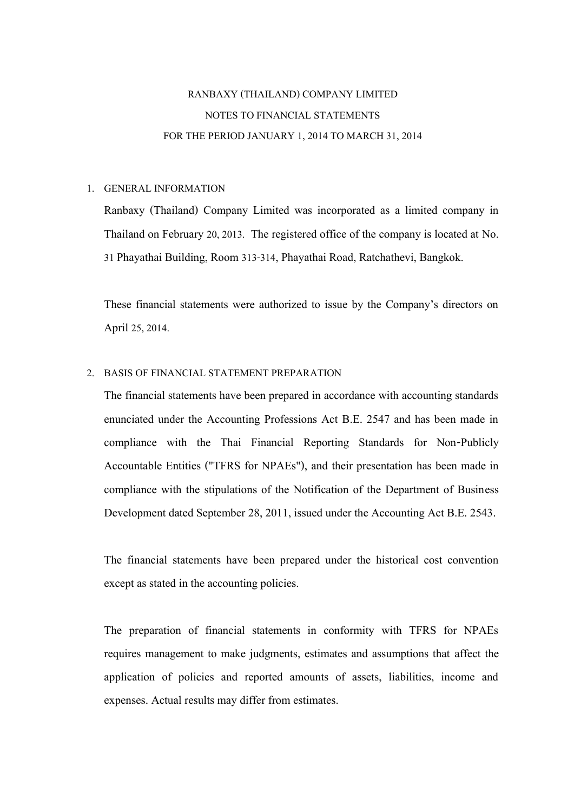# RANBAXY (THAILAND) COMPANY LIMITED NOTES TO FINANCIAL STATEMENTS FOR THE PERIOD JANUARY 1, 2014 TO MARCH 31, 2014

#### 1. GENERAL INFORMATION

Ranbaxy (Thailand) Company Limited was incorporated as a limited company in Thailand on February 20, 2013. The registered office of the company is located at No. 31Phayathai Building, Room 313-314, Phayathai Road, Ratchathevi, Bangkok.

These financial statements were authorized to issue by the Company's directors on April 25, 2014.

#### 2. BASIS OF FINANCIAL STATEMENT PREPARATION

The financial statements have been prepared in accordance with accounting standards enunciated under the Accounting Professions Act B.E. 2547 and has been made in compliance with the Thai Financial Reporting Standards for Non-Publicly Accountable Entities ("TFRS for NPAEs"), and their presentation has been made in compliance with the stipulations of the Notification of the Department of Business Development dated September 28,2011, issued under the Accounting Act B.E. 2543.

The financial statements have been prepared under the historical cost convention except as stated in the accounting policies.

The preparation of financial statements in conformity with TFRS for NPAEs requires management to make judgments, estimates and assumptions that affect the application of policies and reported amounts of assets, liabilities, income and expenses. Actual results may differ from estimates.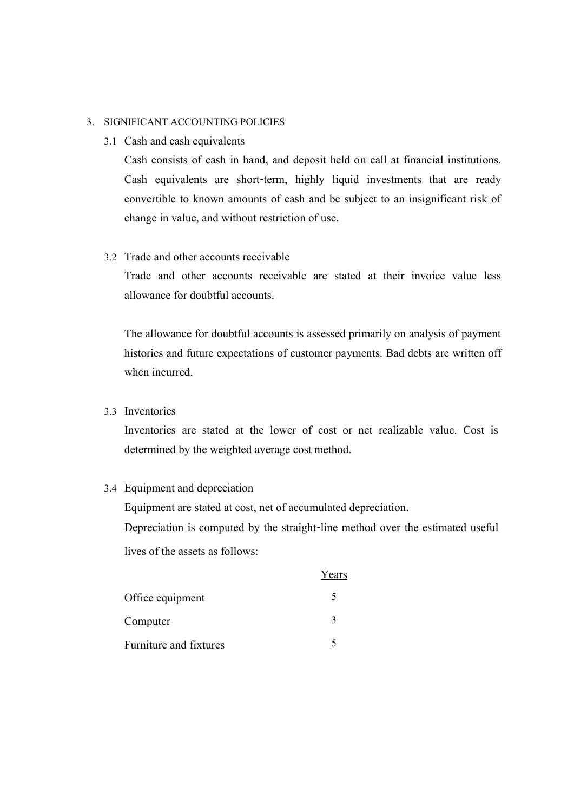#### 3. SIGNIFICANT ACCOUNTING POLICIES

3.1 Cash and cash equivalents

Cash consists of cash in hand, and deposit held on call at financial institutions. Cash equivalents are short-term, highly liquid investments that are ready convertible to known amounts of cash and be subject to an insignificant risk of change in value, and without restriction of use.

#### 3.2 Trade and other accounts receivable

Trade and other accounts receivable are stated at their invoice value less allowance for doubtful accounts.

The allowance for doubtful accounts is assessed primarily on analysis of payment histories and future expectations of customer payments. Bad debts are written off when incurred.

3.3 Inventories

Inventories are stated at the lower of cost or net realizable value. Cost is determined by the weighted average cost method.

#### 3.4 Equipment and depreciation

Equipment are stated at cost, net of accumulated depreciation.

Depreciation is computed by the straight-line method over the estimated useful lives of the assets as follows:

|                               | Years |
|-------------------------------|-------|
| Office equipment              | 5     |
| Computer                      | 3     |
| <b>Furniture and fixtures</b> |       |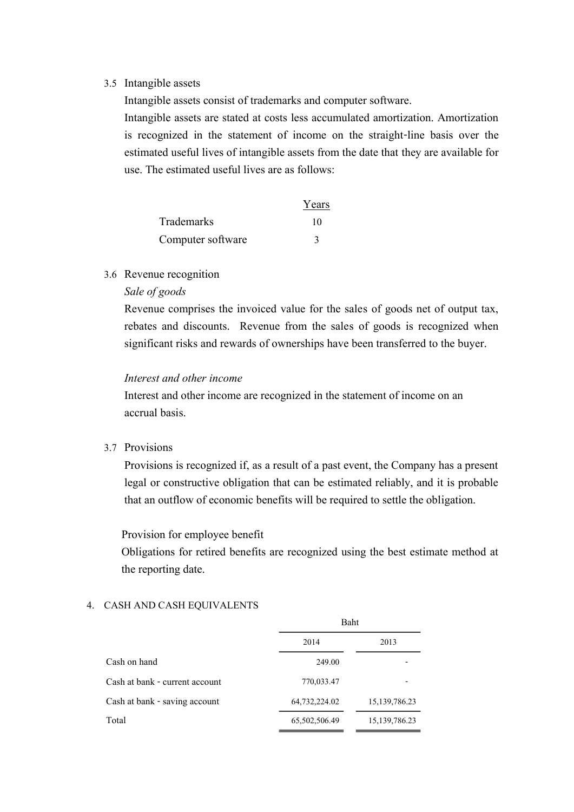#### 3.5 Intangible assets

Intangible assets consist of trademarks and computer software.

Intangible assets are stated at costs less accumulated amortization. Amortization is recognized in the statement of income on the straight-line basis over the estimated useful lives of intangible assets from the date that they are available for use. The estimated useful lives are as follows:

|                   | Years |
|-------------------|-------|
| <b>Trademarks</b> | 10    |
| Computer software |       |

3.6 Revenue recognition

#### *Sale of goods*

Revenue comprises the invoiced value for the sales of goods net of output tax, rebates and discounts. Revenue from the sales of goods is recognized when significant risks and rewards of ownerships have been transferred to the buyer.

#### *Interest and other income*

Interest and other income are recognized in the statement of income on an accrual basis.

3.7 Provisions

Provisions is recognized if, as a result of a past event, the Company has a present legal or constructive obligation that can be estimated reliably, and it is probable that an outflow of economic benefits will be required to settle the obligation.

#### Provision for employee benefit

Obligations for retired benefits are recognized using the best estimate method at the reporting date.

#### 4. CASH AND CASH EQUIVALENTS

|                                | Baht          |                  |
|--------------------------------|---------------|------------------|
|                                | 2014          | 2013             |
| Cash on hand                   | 249.00        |                  |
| Cash at bank - current account | 770,033.47    |                  |
| Cash at bank - saving account  | 64,732,224.02 | 15, 139, 786. 23 |
| Total                          | 65,502,506.49 | 15, 139, 786. 23 |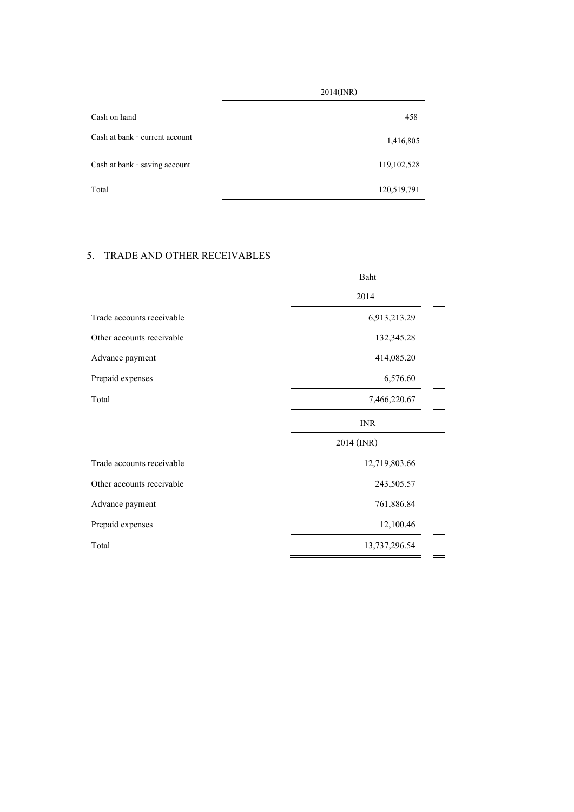|                                | 2014(NR)      |
|--------------------------------|---------------|
| Cash on hand                   | 458           |
| Cash at bank - current account | 1,416,805     |
| Cash at bank - saving account  | 119, 102, 528 |
| Total                          | 120,519,791   |

#### 5. TRADE AND OTHER RECEIVABLES

|                           | Baht          |  |
|---------------------------|---------------|--|
|                           | 2014          |  |
| Trade accounts receivable | 6,913,213.29  |  |
| Other accounts receivable | 132,345.28    |  |
| Advance payment           | 414,085.20    |  |
| Prepaid expenses          | 6,576.60      |  |
| Total                     | 7,466,220.67  |  |
|                           | <b>INR</b>    |  |
|                           | 2014 (INR)    |  |
|                           |               |  |
| Trade accounts receivable | 12,719,803.66 |  |
| Other accounts receivable | 243,505.57    |  |
| Advance payment           | 761,886.84    |  |
| Prepaid expenses          | 12,100.46     |  |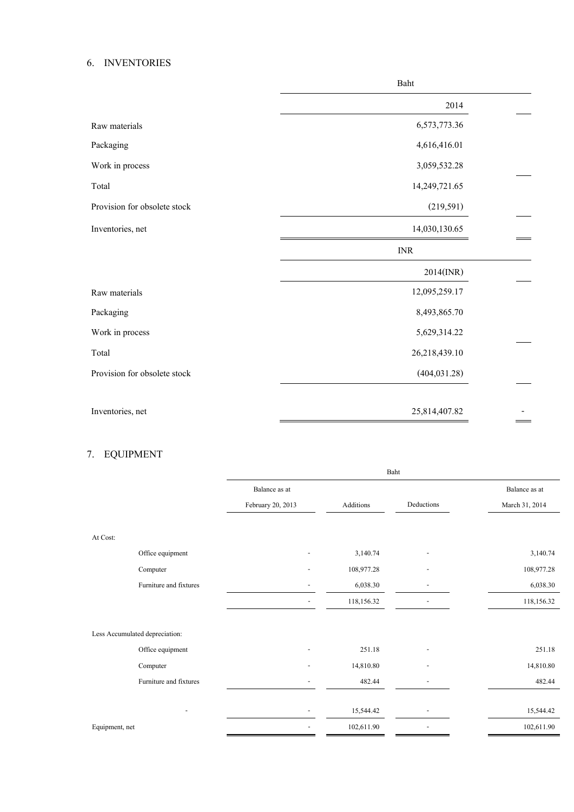### 6. INVENTORIES

| Baht                      |  |
|---------------------------|--|
| 2014                      |  |
| 6,573,773.36              |  |
| 4,616,416.01              |  |
| 3,059,532.28              |  |
| 14,249,721.65             |  |
| (219, 591)                |  |
| 14,030,130.65             |  |
| $\ensuremath{\text{INR}}$ |  |
| 2014(INR)                 |  |
| 12,095,259.17             |  |
| 8,493,865.70              |  |
| 5,629,314.22              |  |
| 26,218,439.10             |  |
| (404, 031.28)             |  |
| 25,814,407.82             |  |
|                           |  |

## 7. EQUIPMENT

|                |                                | Baht                     |            |                          |                |
|----------------|--------------------------------|--------------------------|------------|--------------------------|----------------|
|                |                                | Balance as at            |            |                          | Balance as at  |
|                |                                | February 20, 2013        | Additions  | Deductions               | March 31, 2014 |
|                |                                |                          |            |                          |                |
| At Cost:       |                                |                          |            |                          |                |
|                | Office equipment               | $\overline{\phantom{a}}$ | 3,140.74   | $\overline{\phantom{a}}$ | 3,140.74       |
|                | Computer                       |                          | 108,977.28 |                          | 108,977.28     |
|                | Furniture and fixtures         |                          | 6,038.30   |                          | 6,038.30       |
|                |                                | $\overline{a}$           | 118,156.32 |                          | 118,156.32     |
|                |                                |                          |            |                          |                |
|                | Less Accumulated depreciation: |                          |            |                          |                |
|                | Office equipment               |                          | 251.18     |                          | 251.18         |
|                | Computer                       |                          | 14,810.80  | ٠                        | 14,810.80      |
|                | Furniture and fixtures         |                          | 482.44     |                          | 482.44         |
|                |                                |                          |            |                          |                |
|                |                                |                          | 15,544.42  |                          | 15,544.42      |
| Equipment, net |                                |                          | 102,611.90 |                          | 102,611.90     |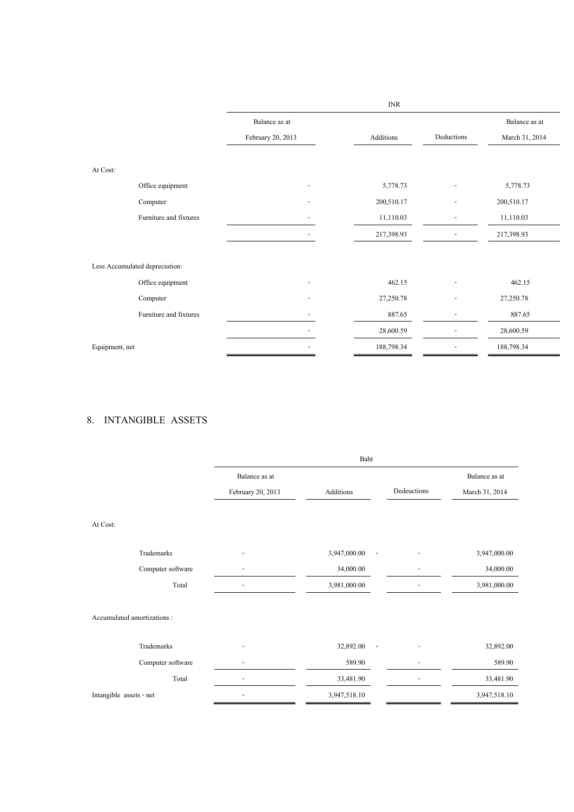|                                |                          | <b>INR</b> |                          |                |
|--------------------------------|--------------------------|------------|--------------------------|----------------|
|                                | Balance as at            |            |                          | Balance as at  |
|                                | February 20, 2013        | Additions  | Deductions               | March 31, 2014 |
|                                |                          |            |                          |                |
| At Cost:                       |                          |            |                          |                |
| Office equipment               | $\overline{\phantom{a}}$ | 5,778.73   |                          | 5,778.73       |
| Computer                       | ٠                        | 200,510.17 | ٠                        | 200,510.17     |
| Furniture and fixtures         | $\overline{\phantom{a}}$ | 11,110.03  | $\overline{\phantom{a}}$ | 11,110.03      |
|                                | $\overline{\phantom{a}}$ | 217,398.93 |                          | 217,398.93     |
|                                |                          |            |                          |                |
| Less Accumulated depreciation: |                          |            |                          |                |
| Office equipment               | $\overline{\phantom{a}}$ | 462.15     | ٠                        | 462.15         |
| Computer                       | $\overline{\phantom{a}}$ | 27,250.78  | $\overline{a}$           | 27,250.78      |
| Furniture and fixtures         | ٠                        | 887.65     | $\overline{\phantom{a}}$ | 887.65         |
|                                | ۰                        | 28,600.59  |                          | 28,600.59      |
| Equipment, net                 |                          | 188,798.34 |                          | 188,798.34     |
|                                |                          |            |                          |                |

# 8. INTANGIBLE ASSETS

|                             |                          | Baht                                     |                          |                |
|-----------------------------|--------------------------|------------------------------------------|--------------------------|----------------|
|                             | Balance as at            |                                          |                          | Balance as at  |
|                             | February 20, 2013        | Additions                                | Dedeuctions              | March 31, 2014 |
|                             |                          |                                          |                          |                |
| At Cost:                    |                          |                                          |                          |                |
|                             |                          |                                          |                          |                |
| Trademarks                  | $\overline{\phantom{a}}$ | 3,947,000.00<br>$\overline{\phantom{a}}$ | $\overline{\phantom{a}}$ | 3,947,000.00   |
| Computer software           |                          | 34,000.00                                | ۰                        | 34,000.00      |
| Total                       | $\overline{\phantom{a}}$ | 3,981,000.00                             | $\overline{\phantom{a}}$ | 3,981,000.00   |
|                             |                          |                                          |                          |                |
| Accumulated amortizations : |                          |                                          |                          |                |
|                             |                          |                                          |                          |                |
| Trademarks                  | ٠                        | 32,892.00<br>$\overline{\phantom{a}}$    | ٠                        | 32,892.00      |
| Computer software           |                          | 589.90                                   |                          | 589.90         |
| Total                       |                          | 33,481.90                                | ۰                        | 33,481.90      |
| Intangible assets - net     |                          | 3,947,518.10                             |                          | 3,947,518.10   |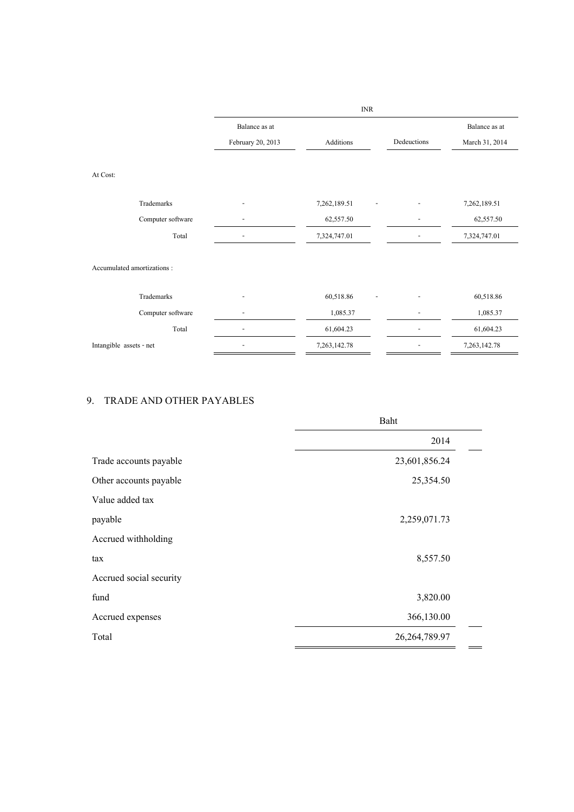|                             |                          | <b>INR</b>      |                          |                |
|-----------------------------|--------------------------|-----------------|--------------------------|----------------|
|                             | Balance as at            |                 |                          | Balance as at  |
|                             | February 20, 2013        | Additions       | Dedeuctions              | March 31, 2014 |
|                             |                          |                 |                          |                |
| At Cost:                    |                          |                 |                          |                |
|                             |                          |                 |                          |                |
| Trademarks                  | $\overline{a}$           | 7,262,189.51    |                          | 7,262,189.51   |
| Computer software           | ٠                        | 62,557.50       | $\overline{\phantom{a}}$ | 62,557.50      |
| Total                       | $\overline{\phantom{a}}$ | 7,324,747.01    |                          | 7,324,747.01   |
|                             |                          |                 |                          |                |
| Accumulated amortizations : |                          |                 |                          |                |
|                             |                          |                 |                          |                |
| Trademarks                  |                          | 60,518.86       |                          | 60,518.86      |
| Computer software           | ٠                        | 1,085.37        | $\overline{\phantom{a}}$ | 1,085.37       |
| Total                       | ٠                        | 61,604.23       | ۰                        | 61,604.23      |
| Intangible assets - net     |                          | 7, 263, 142. 78 |                          | 7,263,142.78   |

# 9. TRADE AND OTHER PAYABLES

|                         | Baht             |  |
|-------------------------|------------------|--|
|                         | 2014             |  |
| Trade accounts payable  | 23,601,856.24    |  |
| Other accounts payable  | 25,354.50        |  |
| Value added tax         |                  |  |
| payable                 | 2,259,071.73     |  |
| Accrued withholding     |                  |  |
| tax                     | 8,557.50         |  |
| Accrued social security |                  |  |
| fund                    | 3,820.00         |  |
| Accrued expenses        | 366,130.00       |  |
| Total                   | 26, 264, 789. 97 |  |